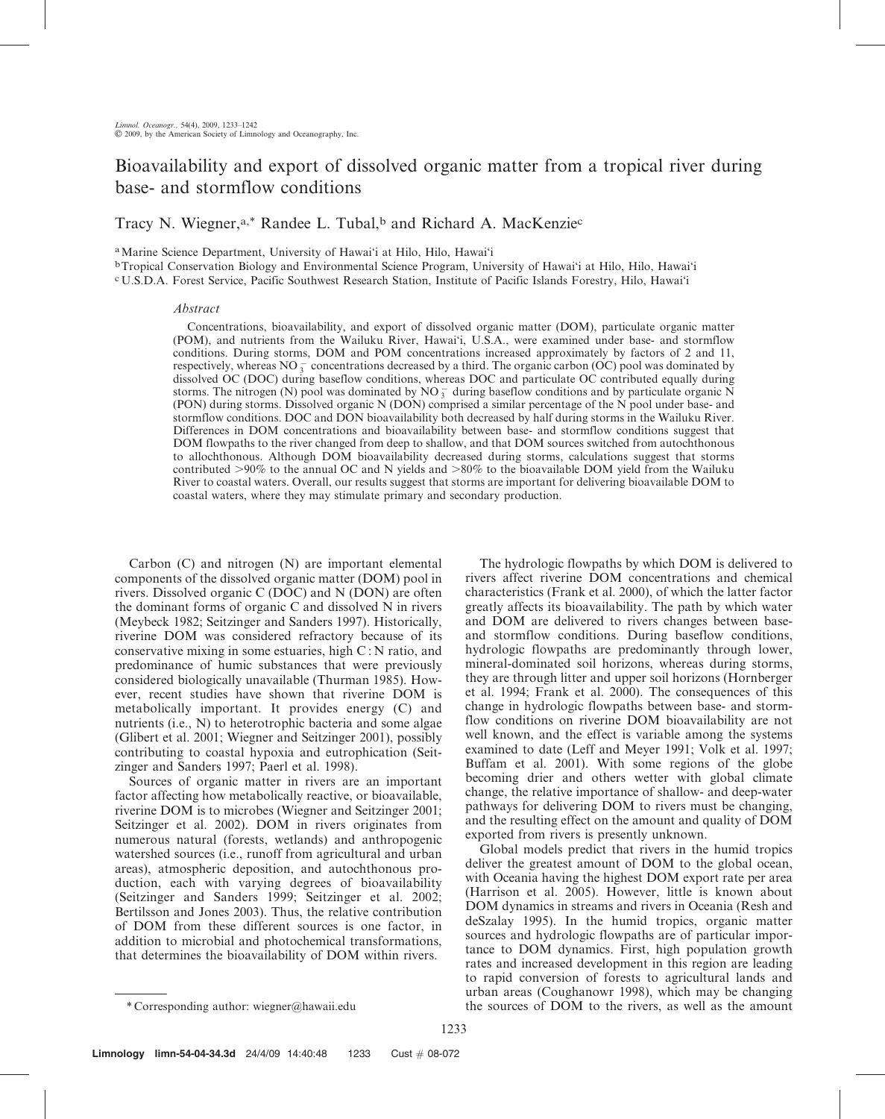# Bioavailability and export of dissolved organic matter from a tropical river during base- and stormflow conditions

Tracy N. Wiegner,<sup>a,\*</sup> Randee L. Tubal,<sup>b</sup> and Richard A. MacKenzie<sup>c</sup>

aMarine Science Department, University of Hawai'i at Hilo, Hilo, Hawai'i

bTropical Conservation Biology and Environmental Science Program, University of Hawai'i at Hilo, Hilo, Hawai'i c U.S.D.A. Forest Service, Pacific Southwest Research Station, Institute of Pacific Islands Forestry, Hilo, Hawai'i

# Abstract

Concentrations, bioavailability, and export of dissolved organic matter (DOM), particulate organic matter (POM), and nutrients from the Wailuku River, Hawai'i, U.S.A., were examined under base- and stormflow conditions. During storms, DOM and POM concentrations increased approximately by factors of 2 and 11, respectively, whereas  $NO_3^-$  concentrations decreased by a third. The organic carbon (OC) pool was dominated by dissolved OC (DOC) during baseflow conditions, whereas DOC and particulate OC contributed equally during storms. The nitrogen (N) pool was dominated by  $NO_3^-$  during baseflow conditions and by particulate organic N (PON) during storms. Dissolved organic N (DON) comprised a similar percentage of the N pool under base- and stormflow conditions. DOC and DON bioavailability both decreased by half during storms in the Wailuku River. Differences in DOM concentrations and bioavailability between base- and stormflow conditions suggest that DOM flowpaths to the river changed from deep to shallow, and that DOM sources switched from autochthonous to allochthonous. Although DOM bioavailability decreased during storms, calculations suggest that storms contributed  $>90\%$  to the annual OC and N yields and  $>80\%$  to the bioavailable DOM yield from the Wailuku River to coastal waters. Overall, our results suggest that storms are important for delivering bioavailable DOM to coastal waters, where they may stimulate primary and secondary production.

Carbon (C) and nitrogen (N) are important elemental components of the dissolved organic matter (DOM) pool in rivers. Dissolved organic C (DOC) and N (DON) are often the dominant forms of organic C and dissolved N in rivers (Meybeck 1982; Seitzinger and Sanders 1997). Historically, riverine DOM was considered refractory because of its conservative mixing in some estuaries, high C : N ratio, and predominance of humic substances that were previously considered biologically unavailable (Thurman 1985). However, recent studies have shown that riverine DOM is metabolically important. It provides energy (C) and nutrients (i.e., N) to heterotrophic bacteria and some algae (Glibert et al. 2001; Wiegner and Seitzinger 2001), possibly contributing to coastal hypoxia and eutrophication (Seitzinger and Sanders 1997; Paerl et al. 1998).

Sources of organic matter in rivers are an important factor affecting how metabolically reactive, or bioavailable, riverine DOM is to microbes (Wiegner and Seitzinger 2001; Seitzinger et al. 2002). DOM in rivers originates from numerous natural (forests, wetlands) and anthropogenic watershed sources (i.e., runoff from agricultural and urban areas), atmospheric deposition, and autochthonous production, each with varying degrees of bioavailability (Seitzinger and Sanders 1999; Seitzinger et al. 2002; Bertilsson and Jones 2003). Thus, the relative contribution of DOM from these different sources is one factor, in addition to microbial and photochemical transformations, that determines the bioavailability of DOM within rivers.

The hydrologic flowpaths by which DOM is delivered to rivers affect riverine DOM concentrations and chemical characteristics (Frank et al. 2000), of which the latter factor greatly affects its bioavailability. The path by which water and DOM are delivered to rivers changes between baseand stormflow conditions. During baseflow conditions, hydrologic flowpaths are predominantly through lower, mineral-dominated soil horizons, whereas during storms, they are through litter and upper soil horizons (Hornberger et al. 1994; Frank et al. 2000). The consequences of this change in hydrologic flowpaths between base- and stormflow conditions on riverine DOM bioavailability are not well known, and the effect is variable among the systems examined to date (Leff and Meyer 1991; Volk et al. 1997; Buffam et al. 2001). With some regions of the globe becoming drier and others wetter with global climate change, the relative importance of shallow- and deep-water pathways for delivering DOM to rivers must be changing, and the resulting effect on the amount and quality of DOM exported from rivers is presently unknown.

Global models predict that rivers in the humid tropics deliver the greatest amount of DOM to the global ocean, with Oceania having the highest DOM export rate per area (Harrison et al. 2005). However, little is known about DOM dynamics in streams and rivers in Oceania (Resh and deSzalay 1995). In the humid tropics, organic matter sources and hydrologic flowpaths are of particular importance to DOM dynamics. First, high population growth rates and increased development in this region are leading to rapid conversion of forests to agricultural lands and urban areas (Coughanowr 1998), which may be changing the sources of DOM to the rivers, as well as the amount

<sup>\*</sup> Corresponding author: wiegner@hawaii.edu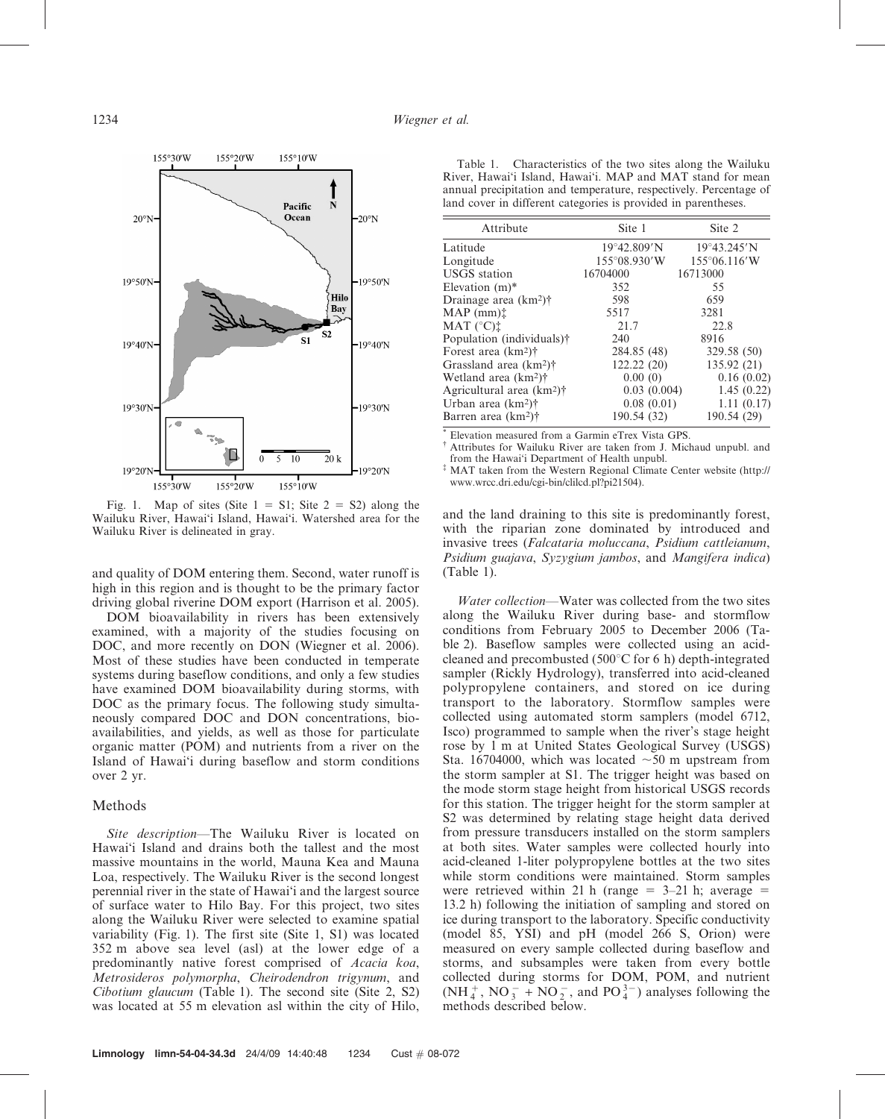

Fig. 1. Map of sites (Site  $1 = S1$ ; Site  $2 = S2$ ) along the Wailuku River, Hawai'i Island, Hawai'i. Watershed area for the Wailuku River is delineated in gray.

and quality of DOM entering them. Second, water runoff is high in this region and is thought to be the primary factor driving global riverine DOM export (Harrison et al. 2005).

DOM bioavailability in rivers has been extensively examined, with a majority of the studies focusing on DOC, and more recently on DON (Wiegner et al. 2006). Most of these studies have been conducted in temperate systems during baseflow conditions, and only a few studies have examined DOM bioavailability during storms, with DOC as the primary focus. The following study simultaneously compared DOC and DON concentrations, bioavailabilities, and yields, as well as those for particulate organic matter (POM) and nutrients from a river on the Island of Hawai'i during baseflow and storm conditions over 2 yr.

## Methods

Site description—The Wailuku River is located on Hawai'i Island and drains both the tallest and the most massive mountains in the world, Mauna Kea and Mauna Loa, respectively. The Wailuku River is the second longest perennial river in the state of Hawai'i and the largest source of surface water to Hilo Bay. For this project, two sites along the Wailuku River were selected to examine spatial variability (Fig. 1). The first site (Site 1, S1) was located 352 m above sea level (asl) at the lower edge of a predominantly native forest comprised of Acacia koa, Metrosideros polymorpha, Cheirodendron trigynum, and Cibotium glaucum (Table 1). The second site (Site 2, S2) was located at 55 m elevation asl within the city of Hilo,

Table 1. Characteristics of the two sites along the Wailuku River, Hawai'i Island, Hawai'i. MAP and MAT stand for mean annual precipitation and temperature, respectively. Percentage of land cover in different categories is provided in parentheses.

| Attribute                             | Site 1                | Site 2                 |
|---------------------------------------|-----------------------|------------------------|
| Latitude                              | $19^{\circ}42.809'N$  | $19^{\circ}43.245'$ N  |
| Longitude                             | $155^{\circ}08.930'W$ | $155^{\circ}06.116'$ W |
| <b>USGS</b> station                   | 16704000              | 16713000               |
| Elevation $(m)^*$                     | 352                   | 55                     |
| Drainage area $(km^2)$ †              | 598                   | 659                    |
| MAP (mm) <sup>†</sup>                 | 5517                  | 3281                   |
| MAT (°C)                              | 21.7                  | 22.8                   |
| Population (individuals)†             | 240                   | 8916                   |
| Forest area $(km2)\dagger$            | 284.85 (48)           | 329.58 (50)            |
| Grassland area $(km2)\dagger$         | 122.22(20)            | 135.92(21)             |
| Wetland area $(km^2)$ †               | 0.00(0)               | 0.16(0.02)             |
| Agricultural area (km <sup>2</sup> )† | 0.03(0.004)           | 1.45(0.22)             |
| Urban area $(km^2)$ †                 | 0.08(0.01)            | 1.11(0.17)             |
| Barren area $(km^2)$ †                | 190.54 (32)           | 190.54 (29)            |

\* Elevation measured from a Garmin eTrex Vista GPS.

<sup>†</sup> Attributes for Wailuku River are taken from J. Michaud unpubl. and from the Hawai'i Department of Health unpubl. { MAT taken from the Western Regional Climate Center website (http://

www.wrcc.dri.edu/cgi-bin/clilcd.pl?pi21504).

and the land draining to this site is predominantly forest, with the riparian zone dominated by introduced and invasive trees (Falcataria moluccana, Psidium cattleianum, Psidium guajava, Syzygium jambos, and Mangifera indica) (Table 1).

Water collection—Water was collected from the two sites along the Wailuku River during base- and stormflow conditions from February 2005 to December 2006 (Table 2). Baseflow samples were collected using an acidcleaned and precombusted (500 $^{\circ}$ C for 6 h) depth-integrated sampler (Rickly Hydrology), transferred into acid-cleaned polypropylene containers, and stored on ice during transport to the laboratory. Stormflow samples were collected using automated storm samplers (model 6712, Isco) programmed to sample when the river's stage height rose by 1 m at United States Geological Survey (USGS) Sta. 16704000, which was located  $\sim 50$  m upstream from the storm sampler at S1. The trigger height was based on the mode storm stage height from historical USGS records for this station. The trigger height for the storm sampler at S2 was determined by relating stage height data derived from pressure transducers installed on the storm samplers at both sites. Water samples were collected hourly into acid-cleaned 1-liter polypropylene bottles at the two sites while storm conditions were maintained. Storm samples were retrieved within 21 h (range  $=$  3–21 h; average  $=$ 13.2 h) following the initiation of sampling and stored on ice during transport to the laboratory. Specific conductivity (model 85, YSI) and pH (model 266 S, Orion) were measured on every sample collected during baseflow and storms, and subsamples were taken from every bottle collected during storms for DOM, POM, and nutrient  $(NH_4^+, NO_3^- + NO_2^-$ , and  $PO_4^{3-}$ ) analyses following the methods described below.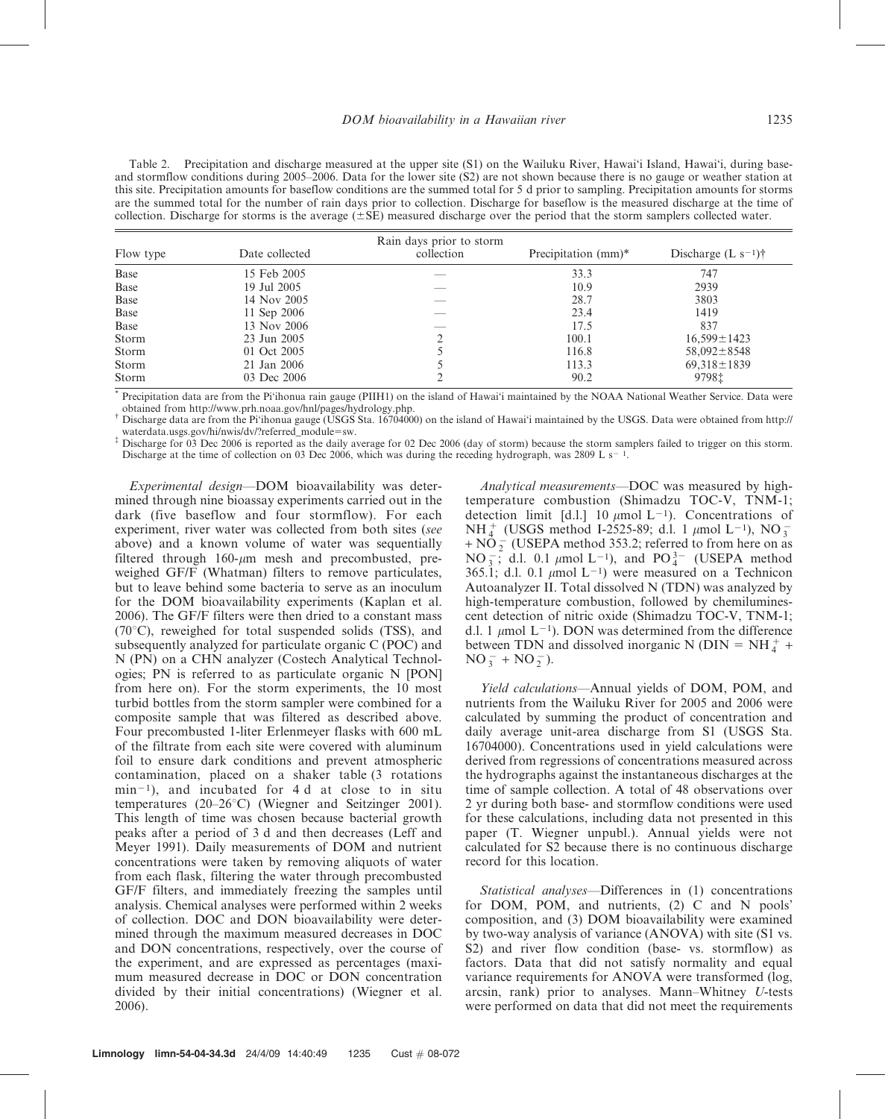Table 2. Precipitation and discharge measured at the upper site (S1) on the Wailuku River, Hawai'i Island, Hawai'i, during baseand stormflow conditions during 2005–2006. Data for the lower site (S2) are not shown because there is no gauge or weather station at this site. Precipitation amounts for baseflow conditions are the summed total for 5 d prior to sampling. Precipitation amounts for storms are the summed total for the number of rain days prior to collection. Discharge for baseflow is the measured discharge at the time of collection. Discharge for storms is the average  $(\pm SE)$  measured discharge over the period that the storm samplers collected water.

| Flow type | Date collected | Rain days prior to storm<br>collection | Precipitation (mm) <sup>*</sup> | Discharge $(L s^{-1})^{\dagger}$ |
|-----------|----------------|----------------------------------------|---------------------------------|----------------------------------|
| Base      | 15 Feb 2005    |                                        | 33.3                            | 747                              |
| Base      | 19 Jul 2005    |                                        | 10.9                            | 2939                             |
| Base      | 14 Nov 2005    |                                        | 28.7                            | 3803                             |
| Base      | 11 Sep 2006    |                                        | 23.4                            | 1419                             |
| Base      | 13 Nov 2006    |                                        | 17.5                            | 837                              |
| Storm     | 23 Jun 2005    |                                        | 100.1                           | $16,599 \pm 1423$                |
| Storm     | 01 Oct 2005    |                                        | 116.8                           | $58,092 \pm 8548$                |
| Storm     | 21 Jan 2006    |                                        | 113.3                           | $69,318 \pm 1839$                |
| Storm     | 03 Dec 2006    |                                        | 90.2                            | 97981                            |

Precipitation data are from the Pi'ihonua rain gauge (PIIH1) on the island of Hawai'i maintained by the NOAA National Weather Service. Data were obtained from http://www.prh.noaa.gov/hnl/pages/hydrology.php.

{ Discharge data are from the Pi'ihonua gauge (USGS Sta. 16704000) on the island of Hawai'i maintained by the USGS. Data were obtained from http://

waterdata.usgs.gov/hi/nwis/dv/?referred\_module=sw.<br>
<sup>‡</sup> Discharge for 03 Dec 2006 is reported as the daily average for 02 Dec 2006 (day of storm) because the storm samplers failed to trigger on this storm. Discharge at the time of collection on 03 Dec 2006, which was during the receding hydrograph, was 2809 L s<sup>-1</sup>.

Experimental design—DOM bioavailability was determined through nine bioassay experiments carried out in the dark (five baseflow and four stormflow). For each experiment, river water was collected from both sites (see above) and a known volume of water was sequentially filtered through  $160$ - $\mu$ m mesh and precombusted, preweighed GF/F (Whatman) filters to remove particulates, but to leave behind some bacteria to serve as an inoculum for the DOM bioavailability experiments (Kaplan et al. 2006). The GF/F filters were then dried to a constant mass  $(70^{\circ}C)$ , reweighed for total suspended solids (TSS), and subsequently analyzed for particulate organic C (POC) and N (PN) on a CHN analyzer (Costech Analytical Technologies; PN is referred to as particulate organic N [PON] from here on). For the storm experiments, the 10 most turbid bottles from the storm sampler were combined for a composite sample that was filtered as described above. Four precombusted 1-liter Erlenmeyer flasks with 600 mL of the filtrate from each site were covered with aluminum foil to ensure dark conditions and prevent atmospheric contamination, placed on a shaker table (3 rotations  $min^{-1}$ , and incubated for 4 d at close to in situ temperatures (20–26 $\degree$ C) (Wiegner and Seitzinger 2001). This length of time was chosen because bacterial growth peaks after a period of 3 d and then decreases (Leff and Meyer 1991). Daily measurements of DOM and nutrient concentrations were taken by removing aliquots of water from each flask, filtering the water through precombusted GF/F filters, and immediately freezing the samples until analysis. Chemical analyses were performed within 2 weeks of collection. DOC and DON bioavailability were determined through the maximum measured decreases in DOC and DON concentrations, respectively, over the course of the experiment, and are expressed as percentages (maximum measured decrease in DOC or DON concentration divided by their initial concentrations) (Wiegner et al. 2006).

Analytical measurements—DOC was measured by hightemperature combustion (Shimadzu TOC-V, TNM-1; detection limit [d.l.] 10  $\mu$ mol L<sup>-1</sup>). Concentrations of NH<sup>+</sup> (USGS method I-2525-89; d.l. 1  $\mu$ mol L<sup>-1</sup>), NO<sub>3</sub>  $+ N\overline{O}_2$  (USEPA method 353.2; referred to from here on as NO<sub>3</sub>; d.l. 0.1  $\mu$ mol L<sup>-1</sup>), and PO<sup>3</sup><sup>-</sup> (USEPA method 365.1; d.l. 0.1  $\mu$ mol L<sup>-1</sup>) were measured on a Technicon Autoanalyzer II. Total dissolved N (TDN) was analyzed by high-temperature combustion, followed by chemiluminescent detection of nitric oxide (Shimadzu TOC-V, TNM-1; d.l. 1  $\mu$ mol L<sup>-1</sup>). DON was determined from the difference between TDN and dissolved inorganic N (DIN = NH $_4^+$  +  $NO_3^- + NO_2^-$ ).

Yield calculations—Annual yields of DOM, POM, and nutrients from the Wailuku River for 2005 and 2006 were calculated by summing the product of concentration and daily average unit-area discharge from S1 (USGS Sta. 16704000). Concentrations used in yield calculations were derived from regressions of concentrations measured across the hydrographs against the instantaneous discharges at the time of sample collection. A total of 48 observations over 2 yr during both base- and stormflow conditions were used for these calculations, including data not presented in this paper (T. Wiegner unpubl.). Annual yields were not calculated for S2 because there is no continuous discharge record for this location.

Statistical analyses—Differences in (1) concentrations for DOM, POM, and nutrients, (2) C and N pools' composition, and (3) DOM bioavailability were examined by two-way analysis of variance (ANOVA) with site (S1 vs. S2) and river flow condition (base- vs. stormflow) as factors. Data that did not satisfy normality and equal variance requirements for ANOVA were transformed (log, arcsin, rank) prior to analyses. Mann–Whitney U-tests were performed on data that did not meet the requirements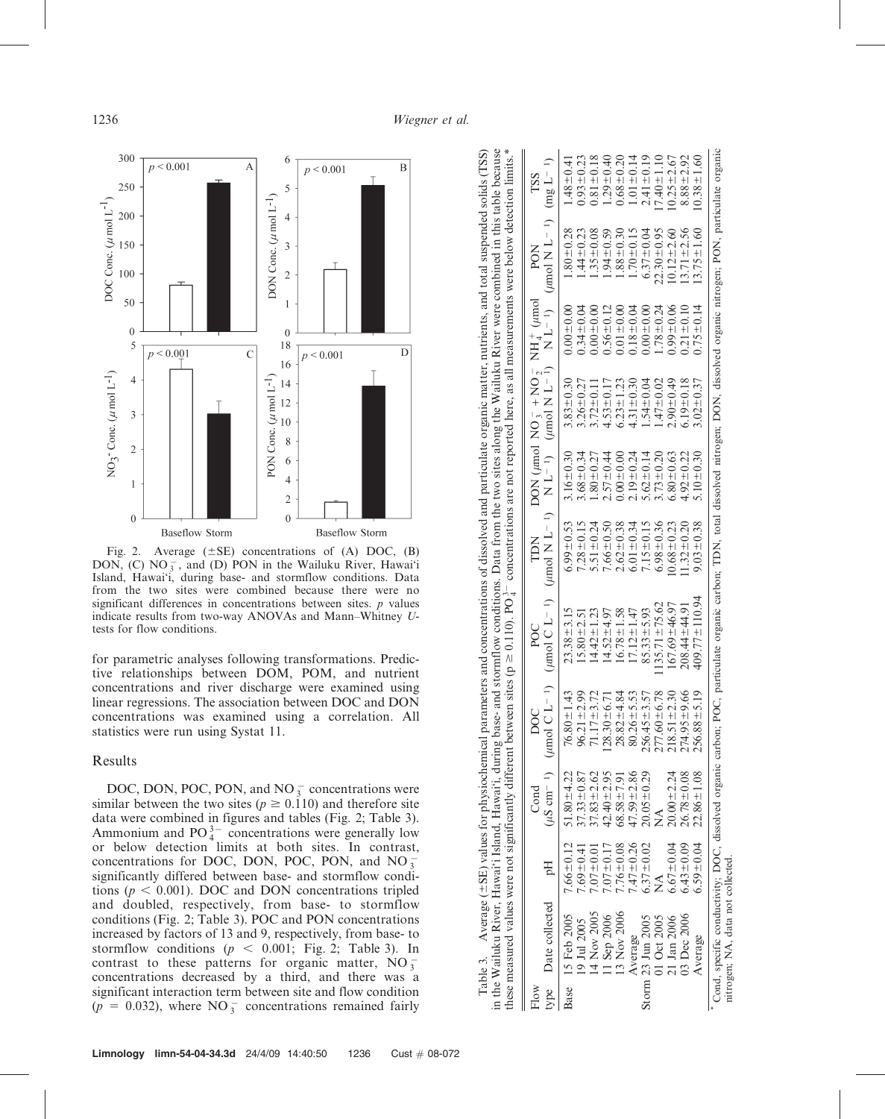$\mathbf{I}$ 



Fig. 2. Average  $(\pm SE)$  concentrations of (A) DOC, (B) DON,  $(C) NO_3^-$ , and  $(D) PON$  in the Wailuku River, Hawai'i Island, Hawai'i, during base- and stormflow conditions. Data from the two sites were combined because there were no significant differences in concentrations between sites. *p* values indicate results from two-way ANOVAs and Mann–Whitney Utests for flow conditions.

for parametric analyses following transformations. Predictive relationships between DOM, POM, and nutrient concentrations and river discharge were examined using linear regressions. The association between DOC and DON concentrations was examined using a correlation. All statistics were run using Systat 11.

### Results

DOC, DON, POC, PON, and NO $_3^-$  concentrations were similar between the two sites ( $p \ge 0.110$ ) and therefore site data were combined in figures and tables (Fig. 2; Table 3). Ammonium and  $PO_4^{3-}$  concentrations were generally low or below detection limits at both sites. In contrast, concentrations for DOC, DON, POC, PON, and NO $_3^$ significantly differed between base- and stormflow conditions ( $p < 0.001$ ). DOC and DON concentrations tripled and doubled, respectively, from base- to stormflow conditions (Fig. 2; Table 3). POC and PON concentrations increased by factors of 13 and 9, respectively, from base- to stormflow conditions ( $p \le 0.001$ ; Fig. 2; Table 3). In contrast to these patterns for organic matter,  $NO_3^$ concentrations decreased by a third, and there was a significant interaction term between site and flow condition  $(p = 0.032)$ , where NO<sub>3</sub> concentrations remained fairly

| in the Wailuku River, Hawai'i Island, Hawai'i, during ba<br>Table 3. Average $(\pm SE)$ values for physiochem<br>se measured values were not significantly |
|------------------------------------------------------------------------------------------------------------------------------------------------------------|
|                                                                                                                                                            |

|              |                                   |                      |                  | these measured values were not significantly different between sites (p $\geq$ 0.110). PO $_2^2$ concentrations are not reported here, as all measurements were below detection limits.*                                         |                     |                 |                 |                                                                                                                       |                 |                                                               |                 |
|--------------|-----------------------------------|----------------------|------------------|----------------------------------------------------------------------------------------------------------------------------------------------------------------------------------------------------------------------------------|---------------------|-----------------|-----------------|-----------------------------------------------------------------------------------------------------------------------|-----------------|---------------------------------------------------------------|-----------------|
| type<br>Flow | Date collected                    | Hq                   | $_{\rm Cond}$    | (in $\sum_{i=1}^{n}$ ) ( $\sum_{i=1}^{n}$ ) ( $\sum_{i=1}^{n}$ ) ( $\sum_{i=1}^{n}$ ) ( $\sum_{i=1}^{n}$ ) ( $\sum_{i=1}^{n}$ ) ( $\sum_{i=1}^{n}$ ) ( $\sum_{i=1}^{n}$ ) ( $\sum_{i=1}^{n}$ ) (imol N L - 1)<br>$_{\text{DOC}}$ | POC                 | TDN             |                 | $\text{Lip}$ / $\text{Lip}$ / $\text{Lip}$ / $\text{Lip}$ / $\text{Lip}$ / $\text{Lip}$ / $\text{Lip}$ / $\text{Lip}$ |                 | $N L^{-1}$ ) ( <i>umol</i> $N L^{-1}$ ) (mg $L^{-1}$ )<br>PON | TSS             |
|              | Base 15 Feb 2005                  | $7.66 \pm 0.12$      | $51.80 \pm 4.22$ | $.80 \pm 1.43$<br>76.                                                                                                                                                                                                            | $23.38 \pm 3.15$    | $6.99 \pm 0.53$ | $0.16 \pm 0.30$ | $3.83 + 0.30$                                                                                                         | $0.00 \pm 0.00$ | $.80 \pm 0.28$                                                | $.48 \pm 0.41$  |
|              | 19 Jul 2005                       | $7.69 \pm 0.4$       | $7.33 \pm 0.8$   | $.21 \pm 2.99$<br>96.                                                                                                                                                                                                            | $15.80 \pm 2.51$    | $7.28 \pm 0.15$ | $8.68 \pm 0.34$ | $3.26 \pm 0.27$                                                                                                       | $0.34 + 0.04$   | $.44 \pm 0.23$                                                | $0.93 \pm 0.23$ |
|              | $14$ Nov 200:                     | $7.07 + 0.0$         | $7.83 \pm 2.62$  | $.17 - 3.72$                                                                                                                                                                                                                     | $4.42 \pm 1.23$     | $5.51 \pm 0.24$ | $.80 + 0.27$    | $3.72 \pm 0.11$                                                                                                       | 0.001000        | $.35 \pm 0.08$                                                | $0.81 \pm 0.18$ |
|              | 11 Sep 2006                       | $7.07 \pm 0.17$      | $42.40 \pm 2.95$ | $.30 - 6.71$<br>28.                                                                                                                                                                                                              | $4.52 + 4.97$       | $7.66 \pm 0.50$ | $2.57 \pm 0.44$ | $4.53 \pm 0.17$                                                                                                       | $0.56 \pm 0.12$ | $0.594 \pm 0.59$                                              | $1.29 \pm 0.40$ |
|              | 13 Nov 2006                       | $7.76 \pm 0.08$      | $68.58 \pm 7.9$  | $.82 - 4.84$<br>28.                                                                                                                                                                                                              | $6.78 \pm 1.58$     | $2.62 \pm 0.38$ | $0.00 + 0.00$   | $6.23 \pm 1.23$                                                                                                       | $0.01 \pm 0.00$ | $.88 + 0.30$                                                  | $0.68 \pm 0.20$ |
|              | Average                           | $7.47 \pm 0.26$      | $47.59 \pm 2.86$ | $80.26 \pm 5.53$                                                                                                                                                                                                                 | $17.12 \pm 1.47$    | $6.01 \pm 0.34$ | $2.19 \pm 0.24$ | $4.31 \pm 0.30$                                                                                                       | $0.18 + 0.04$   | $1.70 \pm 0.15$                                               | $1.01 \pm 0.14$ |
|              | Storm 23 Jun 2005                 | $6.37 \pm 0.02$      | $20.05 \pm 0.29$ | $.45 - 3.57$<br>256.                                                                                                                                                                                                             | $85.33 \pm 5.93$    | $7.15 \pm 0.15$ | $5.62 \pm 0.14$ | $.54 + 0.04$                                                                                                          | $0.00 - 0.00$   | $6.37 \pm 0.04$                                               | $2.41 \pm 0.19$ |
|              | 01 Oct 2005                       | $\breve{\mathsf{z}}$ | ∕<br>2           | $.60 \pm 6.78$<br>277                                                                                                                                                                                                            | $135.71 \pm 75.62$  | $6.98 \pm 0.36$ | $3.73 + 0.20$   | $.47 + 0.02$                                                                                                          | $1.78 + 0.24$   | $22.30 \pm 0.95$                                              | $7.40 \pm 1.10$ |
|              | 21 Jan 2006                       | $6.67 \pm 0.04$      | $20.00 + 2.24$   | $51 + 2.30$<br>218                                                                                                                                                                                                               | $167.69 \pm 46.97$  | $0.68 \pm 0.23$ | $5.80 \pm 0.63$ | $2.90 \pm 0.49$                                                                                                       | $0.99 \pm 0.06$ | $10.12 \pm 2.60$                                              | $0.25 + 2.67$   |
|              | 03 Dec 2006                       | $6.43 \pm 0.09$      | $26.78 \pm 0.08$ | $.95 \pm 9.66$<br>274                                                                                                                                                                                                            | $208.44 \pm 44.91$  | $1.32 \pm 0.20$ | $4.92 \pm 0.22$ | $0.19 \pm 0.18$                                                                                                       | $0.21 \pm 0.10$ | $3.71 \pm 2.56$                                               | $8.88 + 2.92$   |
|              | Average                           | $6.59 \pm 0.04$      | $22.86 \pm 1.08$ | $.88 \pm 5.19$<br>256                                                                                                                                                                                                            | $409.77 \pm 110.94$ | $9.03 \pm 0.38$ | $0.10 \pm 0.30$ | $.02 \pm 0.37$                                                                                                        | $0.75 \pm 0.14$ | $13.75 \pm 1.60$                                              | $0.38 \pm 1.60$ |
|              | nitrogen; NA, data not collected. |                      |                  | Cond, specific conductivity; DOC, dissolved organic carbon; POC, particulate organic carbon; TDN, total dissolved nitrogen; DON, dissolved organic nitrogen; PON, particulate organic                                            |                     |                 |                 |                                                                                                                       |                 |                                                               |                 |

 $\overline{1}$  o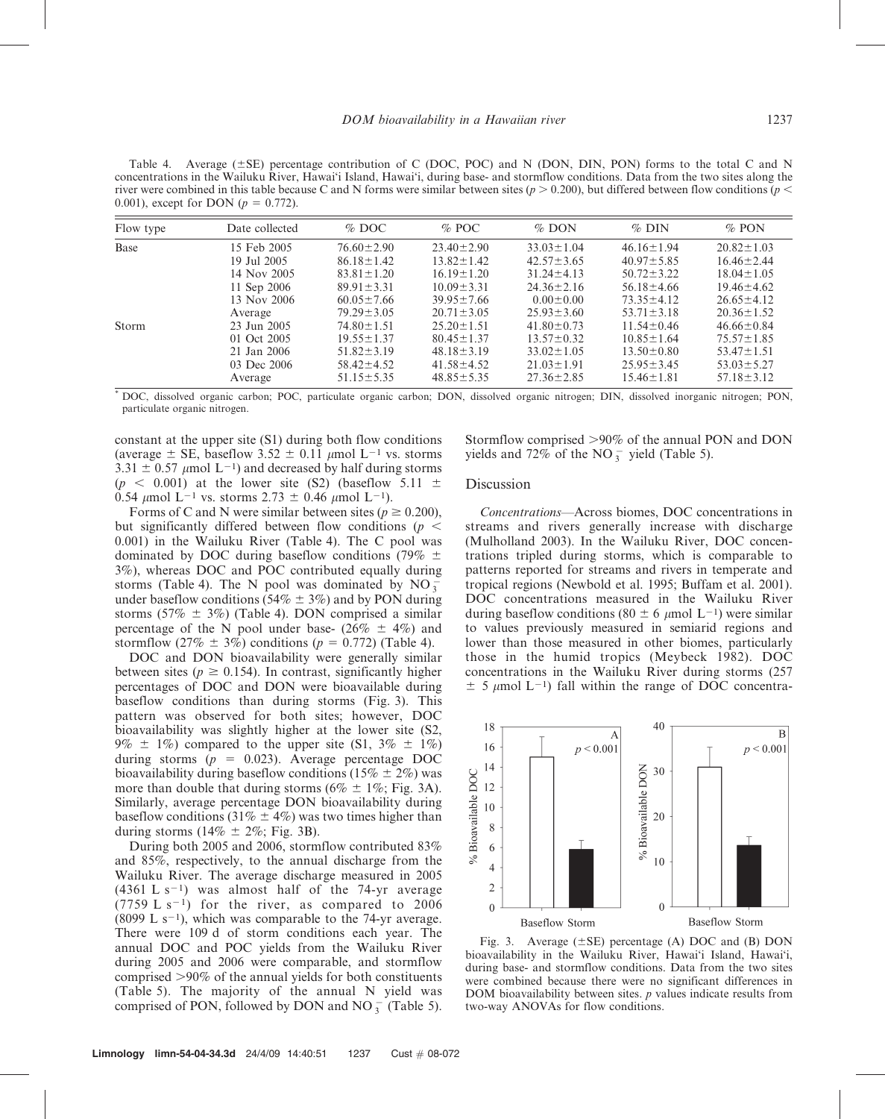Table 4. Average  $(\pm SE)$  percentage contribution of C (DOC, POC) and N (DON, DIN, PON) forms to the total C and N concentrations in the Wailuku River, Hawai'i Island, Hawai'i, during base- and stormflow conditions. Data from the two sites along the river were combined in this table because C and N forms were similar between sites ( $p > 0.200$ ), but differed between flow conditions ( $p <$ 0.001), except for DON ( $p = 0.772$ ).

| Flow type | Date collected | $\%$ DOC         | $%$ POC          | $%$ DON          | $%$ DIN          | $\%$ PON         |
|-----------|----------------|------------------|------------------|------------------|------------------|------------------|
| Base      | 15 Feb 2005    | $76.60 \pm 2.90$ | $23.40 \pm 2.90$ | $33.03 \pm 1.04$ | $46.16 \pm 1.94$ | $20.82 \pm 1.03$ |
|           | 19 Jul 2005    | $86.18 \pm 1.42$ | $13.82 \pm 1.42$ | $42.57 \pm 3.65$ | $40.97 \pm 5.85$ | $16.46 \pm 2.44$ |
|           | 14 Nov 2005    | $83.81 \pm 1.20$ | $16.19 \pm 1.20$ | $31.24 \pm 4.13$ | $50.72 + 3.22$   | $18.04 \pm 1.05$ |
|           | 11 Sep 2006    | $89.91 \pm 3.31$ | $10.09 \pm 3.31$ | $24.36 \pm 2.16$ | $56.18 \pm 4.66$ | $19.46 \pm 4.62$ |
|           | 13 Nov 2006    | $60.05 \pm 7.66$ | $39.95 \pm 7.66$ | $0.00 \pm 0.00$  | $73.35 \pm 4.12$ | $26.65 \pm 4.12$ |
|           | Average        | $79.29 \pm 3.05$ | $20.71 \pm 3.05$ | $25.93 \pm 3.60$ | $53.71 \pm 3.18$ | $20.36 \pm 1.52$ |
| Storm     | 23 Jun 2005    | $74.80 \pm 1.51$ | $25.20 \pm 1.51$ | $41.80 \pm 0.73$ | $11.54 \pm 0.46$ | $46.66 \pm 0.84$ |
|           | 01 Oct 2005    | $19.55 \pm 1.37$ | $80.45 \pm 1.37$ | $13.57 \pm 0.32$ | $10.85 \pm 1.64$ | $75.57 \pm 1.85$ |
|           | 21 Jan 2006    | $51.82 \pm 3.19$ | $48.18 \pm 3.19$ | $33.02 \pm 1.05$ | $13.50 \pm 0.80$ | $53.47 \pm 1.51$ |
|           | 03 Dec 2006    | $58.42 \pm 4.52$ | $41.58 \pm 4.52$ | $21.03 \pm 1.91$ | $25.95 \pm 3.45$ | $53.03 \pm 5.27$ |
|           | Average        | $51.15 \pm 5.35$ | $48.85 \pm 5.35$ | $27.36 \pm 2.85$ | $15.46 \pm 1.81$ | $57.18 \pm 3.12$ |

\* DOC, dissolved organic carbon; POC, particulate organic carbon; DON, dissolved organic nitrogen; DIN, dissolved inorganic nitrogen; PON, particulate organic nitrogen.

constant at the upper site (S1) during both flow conditions (average  $\pm$  SE, baseflow 3.52  $\pm$  0.11  $\mu$ mol L<sup>-1</sup> vs. storms  $3.31 \pm 0.57$  µmol L<sup>-1</sup>) and decreased by half during storms  $(p \le 0.001)$  at the lower site (S2) (baseflow 5.11  $\pm$ 0.54  $\mu$ mol L<sup>-1</sup> vs. storms 2.73  $\pm$  0.46  $\mu$ mol L<sup>-1</sup>).

Forms of C and N were similar between sites ( $p \ge 0.200$ ), but significantly differed between flow conditions ( $p \leq$ 0.001) in the Wailuku River (Table 4). The C pool was dominated by DOC during baseflow conditions (79%  $\pm$ 3%), whereas DOC and POC contributed equally during storms (Table 4). The N pool was dominated by  $NO_3^$ under baseflow conditions (54%  $\pm$  3%) and by PON during storms (57%  $\pm$  3%) (Table 4). DON comprised a similar percentage of the N pool under base- (26%  $\pm$  4%) and stormflow (27%  $\pm$  3%) conditions ( $p = 0.772$ ) (Table 4).

DOC and DON bioavailability were generally similar between sites ( $p \ge 0.154$ ). In contrast, significantly higher percentages of DOC and DON were bioavailable during baseflow conditions than during storms (Fig. 3). This pattern was observed for both sites; however, DOC bioavailability was slightly higher at the lower site (S2, 9%  $\pm$  1%) compared to the upper site (S1, 3%  $\pm$  1%) during storms ( $p = 0.023$ ). Average percentage DOC bioavailability during baseflow conditions (15%  $\pm$  2%) was more than double that during storms ( $6\% \pm 1\%$ ; Fig. 3A). Similarly, average percentage DON bioavailability during baseflow conditions (31%  $\pm$  4%) was two times higher than during storms ( $14\% \pm 2\%$ ; Fig. 3B).

During both 2005 and 2006, stormflow contributed 83% and 85%, respectively, to the annual discharge from the Wailuku River. The average discharge measured in 2005  $(4361 L s<sup>-1</sup>)$  was almost half of the 74-yr average  $(7759 \text{ L s}^{-1})$  for the river, as compared to 2006 (8099 L s<sup>-1</sup>), which was comparable to the 74-yr average. There were 109 d of storm conditions each year. The annual DOC and POC yields from the Wailuku River during 2005 and 2006 were comparable, and stormflow comprised  $>90\%$  of the annual yields for both constituents (Table 5). The majority of the annual N yield was comprised of PON, followed by DON and NO $_3^-$  (Table 5).

Stormflow comprised  $>90\%$  of the annual PON and DON yields and  $72\%$  of the NO<sub>3</sub> yield (Table 5).

#### Discussion

Concentrations—Across biomes, DOC concentrations in streams and rivers generally increase with discharge (Mulholland 2003). In the Wailuku River, DOC concentrations tripled during storms, which is comparable to patterns reported for streams and rivers in temperate and tropical regions (Newbold et al. 1995; Buffam et al. 2001). DOC concentrations measured in the Wailuku River during baseflow conditions (80  $\pm$  6  $\mu$ mol L<sup>-1</sup>) were similar to values previously measured in semiarid regions and lower than those measured in other biomes, particularly those in the humid tropics (Meybeck 1982). DOC concentrations in the Wailuku River during storms (257  $\pm$  5 µmol L<sup>-1</sup>) fall within the range of DOC concentra-



Fig. 3. Average  $(\pm SE)$  percentage (A) DOC and (B) DON bioavailability in the Wailuku River, Hawai'i Island, Hawai'i, during base- and stormflow conditions. Data from the two sites were combined because there were no significant differences in DOM bioavailability between sites.  $p$  values indicate results from two-way ANOVAs for flow conditions.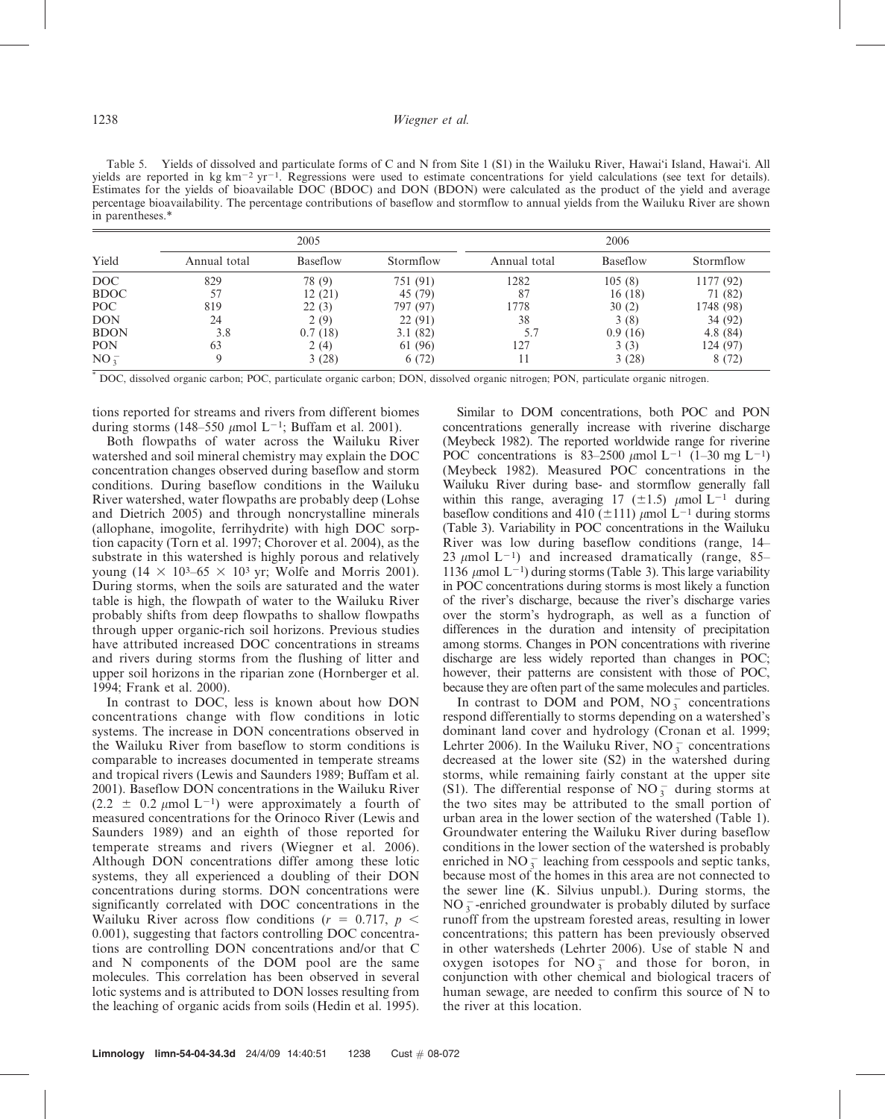| Table 5. Yields of dissolved and particulate forms of C and N from Site 1 (S1) in the Wailuku River, Hawai'i Island, Hawai'i. All                             |
|---------------------------------------------------------------------------------------------------------------------------------------------------------------|
| yields are reported in kg km <sup>-2</sup> yr <sup>-1</sup> . Regressions were used to estimate concentrations for yield calculations (see text for details). |
| Estimates for the yields of bioavailable DOC (BDOC) and DON (BDON) were calculated as the product of the yield and average                                    |
| percentage bioavailability. The percentage contributions of baseflow and stormflow to annual yields from the Wailuku River are shown                          |
| in parentheses.*                                                                                                                                              |

|             |              | 2005     |           |              | 2006            |           |
|-------------|--------------|----------|-----------|--------------|-----------------|-----------|
| Yield       | Annual total | Baseflow | Stormflow | Annual total | <b>Baseflow</b> | Stormflow |
| DOC         | 829          | 78 (9)   | 751 (91)  | 1282         | 105(8)          | 1177 (92) |
| <b>BDOC</b> | 57           | 12(21)   | 45 (79)   | 87           | 16(18)          | 71 (82)   |
| POC         | 819          | 22(3)    | 797 (97)  | 1778         | 30(2)           | 1748 (98) |
| <b>DON</b>  | 24           | 2(9)     | 22(91)    | 38           | 3(8)            | 34 (92)   |
| <b>BDON</b> | 3.8          | 0.7(18)  | 3.1(82)   | 5.7          | 0.9(16)         | 4.8(84)   |
| <b>PON</b>  | 63           | 2(4)     | 61 (96)   | 127          | 3(3)            | 124 (97)  |
| $NO_3^-$    |              | 3(28)    | 6(72)     |              | 3(28)           | 8(72)     |

\* DOC, dissolved organic carbon; POC, particulate organic carbon; DON, dissolved organic nitrogen; PON, particulate organic nitrogen.

tions reported for streams and rivers from different biomes during storms (148–550  $\mu$ mol L<sup>-1</sup>; Buffam et al. 2001).

Both flowpaths of water across the Wailuku River watershed and soil mineral chemistry may explain the DOC concentration changes observed during baseflow and storm conditions. During baseflow conditions in the Wailuku River watershed, water flowpaths are probably deep (Lohse and Dietrich 2005) and through noncrystalline minerals (allophane, imogolite, ferrihydrite) with high DOC sorption capacity (Torn et al. 1997; Chorover et al. 2004), as the substrate in this watershed is highly porous and relatively young  $(14 \times 10^3 - 65 \times 10^3)$  yr; Wolfe and Morris 2001). During storms, when the soils are saturated and the water table is high, the flowpath of water to the Wailuku River probably shifts from deep flowpaths to shallow flowpaths through upper organic-rich soil horizons. Previous studies have attributed increased DOC concentrations in streams and rivers during storms from the flushing of litter and upper soil horizons in the riparian zone (Hornberger et al. 1994; Frank et al. 2000).

In contrast to DOC, less is known about how DON concentrations change with flow conditions in lotic systems. The increase in DON concentrations observed in the Wailuku River from baseflow to storm conditions is comparable to increases documented in temperate streams and tropical rivers (Lewis and Saunders 1989; Buffam et al. 2001). Baseflow DON concentrations in the Wailuku River  $(2.2 \pm 0.2 \mu \text{mol L}^{-1})$  were approximately a fourth of measured concentrations for the Orinoco River (Lewis and Saunders 1989) and an eighth of those reported for temperate streams and rivers (Wiegner et al. 2006). Although DON concentrations differ among these lotic systems, they all experienced a doubling of their DON concentrations during storms. DON concentrations were significantly correlated with DOC concentrations in the Wailuku River across flow conditions ( $r = 0.717$ ,  $p <$ 0.001), suggesting that factors controlling DOC concentrations are controlling DON concentrations and/or that C and N components of the DOM pool are the same molecules. This correlation has been observed in several lotic systems and is attributed to DON losses resulting from the leaching of organic acids from soils (Hedin et al. 1995).

Similar to DOM concentrations, both POC and PON concentrations generally increase with riverine discharge (Meybeck 1982). The reported worldwide range for riverine POC concentrations is  $83-2500 \mu \text{mol} \text{L}^{-1}$  (1-30 mg L<sup>-1</sup>) (Meybeck 1982). Measured POC concentrations in the Wailuku River during base- and stormflow generally fall within this range, averaging 17 ( $\pm$ 1.5)  $\mu$ mol L<sup>-1</sup> during baseflow conditions and 410 ( $\pm$ 111)  $\mu$ mol L<sup>-1</sup> during storms (Table 3). Variability in POC concentrations in the Wailuku River was low during baseflow conditions (range, 14– 23  $\mu$ mol L<sup>-1</sup>) and increased dramatically (range, 85– 1136  $\mu$ mol L<sup>-1</sup>) during storms (Table 3). This large variability in POC concentrations during storms is most likely a function of the river's discharge, because the river's discharge varies over the storm's hydrograph, as well as a function of differences in the duration and intensity of precipitation among storms. Changes in PON concentrations with riverine discharge are less widely reported than changes in POC; however, their patterns are consistent with those of POC, because they are often part of the same molecules and particles.

In contrast to DOM and POM,  $NO_3^-$  concentrations respond differentially to storms depending on a watershed's dominant land cover and hydrology (Cronan et al. 1999; Lehrter 2006). In the Wailuku River, NO<sub>3</sub> concentrations decreased at the lower site (S2) in the watershed during storms, while remaining fairly constant at the upper site (S1). The differential response of  $NO_3^-$  during storms at the two sites may be attributed to the small portion of urban area in the lower section of the watershed (Table 1). Groundwater entering the Wailuku River during baseflow conditions in the lower section of the watershed is probably enriched in  $NO_3^-$  leaching from cesspools and septic tanks, because most of the homes in this area are not connected to the sewer line (K. Silvius unpubl.). During storms, the  $NO_3^-$ -enriched groundwater is probably diluted by surface runoff from the upstream forested areas, resulting in lower concentrations; this pattern has been previously observed in other watersheds (Lehrter 2006). Use of stable N and oxygen isotopes for  $NO_3^-$  and those for boron, in conjunction with other chemical and biological tracers of human sewage, are needed to confirm this source of N to the river at this location.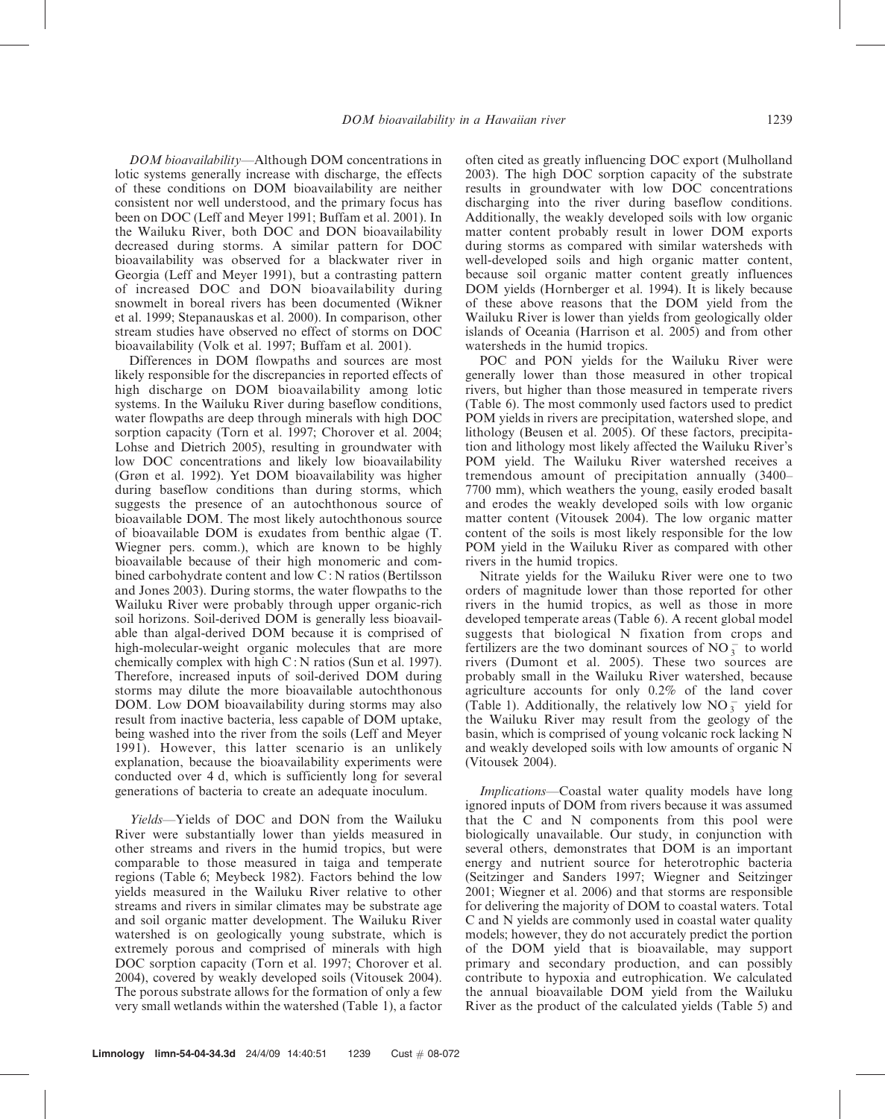DOM bioavailability—Although DOM concentrations in lotic systems generally increase with discharge, the effects of these conditions on DOM bioavailability are neither consistent nor well understood, and the primary focus has been on DOC (Leff and Meyer 1991; Buffam et al. 2001). In the Wailuku River, both DOC and DON bioavailability decreased during storms. A similar pattern for DOC bioavailability was observed for a blackwater river in Georgia (Leff and Meyer 1991), but a contrasting pattern of increased DOC and DON bioavailability during snowmelt in boreal rivers has been documented (Wikner et al. 1999; Stepanauskas et al. 2000). In comparison, other stream studies have observed no effect of storms on DOC bioavailability (Volk et al. 1997; Buffam et al. 2001).

Differences in DOM flowpaths and sources are most likely responsible for the discrepancies in reported effects of high discharge on DOM bioavailability among lotic systems. In the Wailuku River during baseflow conditions, water flowpaths are deep through minerals with high DOC sorption capacity (Torn et al. 1997; Chorover et al. 2004; Lohse and Dietrich 2005), resulting in groundwater with low DOC concentrations and likely low bioavailability (Grøn et al. 1992). Yet DOM bioavailability was higher during baseflow conditions than during storms, which suggests the presence of an autochthonous source of bioavailable DOM. The most likely autochthonous source of bioavailable DOM is exudates from benthic algae (T. Wiegner pers. comm.), which are known to be highly bioavailable because of their high monomeric and combined carbohydrate content and low C : N ratios (Bertilsson and Jones 2003). During storms, the water flowpaths to the Wailuku River were probably through upper organic-rich soil horizons. Soil-derived DOM is generally less bioavailable than algal-derived DOM because it is comprised of high-molecular-weight organic molecules that are more chemically complex with high  $C: N$  ratios (Sun et al. 1997). Therefore, increased inputs of soil-derived DOM during storms may dilute the more bioavailable autochthonous DOM. Low DOM bioavailability during storms may also result from inactive bacteria, less capable of DOM uptake, being washed into the river from the soils (Leff and Meyer 1991). However, this latter scenario is an unlikely explanation, because the bioavailability experiments were conducted over 4 d, which is sufficiently long for several generations of bacteria to create an adequate inoculum.

Yields—Yields of DOC and DON from the Wailuku River were substantially lower than yields measured in other streams and rivers in the humid tropics, but were comparable to those measured in taiga and temperate regions (Table 6; Meybeck 1982). Factors behind the low yields measured in the Wailuku River relative to other streams and rivers in similar climates may be substrate age and soil organic matter development. The Wailuku River watershed is on geologically young substrate, which is extremely porous and comprised of minerals with high DOC sorption capacity (Torn et al. 1997; Chorover et al. 2004), covered by weakly developed soils (Vitousek 2004). The porous substrate allows for the formation of only a few very small wetlands within the watershed (Table 1), a factor

often cited as greatly influencing DOC export (Mulholland 2003). The high DOC sorption capacity of the substrate results in groundwater with low DOC concentrations discharging into the river during baseflow conditions. Additionally, the weakly developed soils with low organic matter content probably result in lower DOM exports during storms as compared with similar watersheds with well-developed soils and high organic matter content, because soil organic matter content greatly influences DOM yields (Hornberger et al. 1994). It is likely because of these above reasons that the DOM yield from the Wailuku River is lower than yields from geologically older islands of Oceania (Harrison et al. 2005) and from other watersheds in the humid tropics.

POC and PON yields for the Wailuku River were generally lower than those measured in other tropical rivers, but higher than those measured in temperate rivers (Table 6). The most commonly used factors used to predict POM yields in rivers are precipitation, watershed slope, and lithology (Beusen et al. 2005). Of these factors, precipitation and lithology most likely affected the Wailuku River's POM yield. The Wailuku River watershed receives a tremendous amount of precipitation annually (3400– 7700 mm), which weathers the young, easily eroded basalt and erodes the weakly developed soils with low organic matter content (Vitousek 2004). The low organic matter content of the soils is most likely responsible for the low POM yield in the Wailuku River as compared with other rivers in the humid tropics.

Nitrate yields for the Wailuku River were one to two orders of magnitude lower than those reported for other rivers in the humid tropics, as well as those in more developed temperate areas (Table 6). A recent global model suggests that biological N fixation from crops and fertilizers are the two dominant sources of  $NO_3^-$  to world rivers (Dumont et al. 2005). These two sources are probably small in the Wailuku River watershed, because agriculture accounts for only 0.2% of the land cover (Table 1). Additionally, the relatively low  $NO_3^-$  yield for the Wailuku River may result from the geology of the basin, which is comprised of young volcanic rock lacking N and weakly developed soils with low amounts of organic N (Vitousek 2004).

Implications—Coastal water quality models have long ignored inputs of DOM from rivers because it was assumed that the C and N components from this pool were biologically unavailable. Our study, in conjunction with several others, demonstrates that DOM is an important energy and nutrient source for heterotrophic bacteria (Seitzinger and Sanders 1997; Wiegner and Seitzinger 2001; Wiegner et al. 2006) and that storms are responsible for delivering the majority of DOM to coastal waters. Total C and N yields are commonly used in coastal water quality models; however, they do not accurately predict the portion of the DOM yield that is bioavailable, may support primary and secondary production, and can possibly contribute to hypoxia and eutrophication. We calculated the annual bioavailable DOM yield from the Wailuku River as the product of the calculated yields (Table 5) and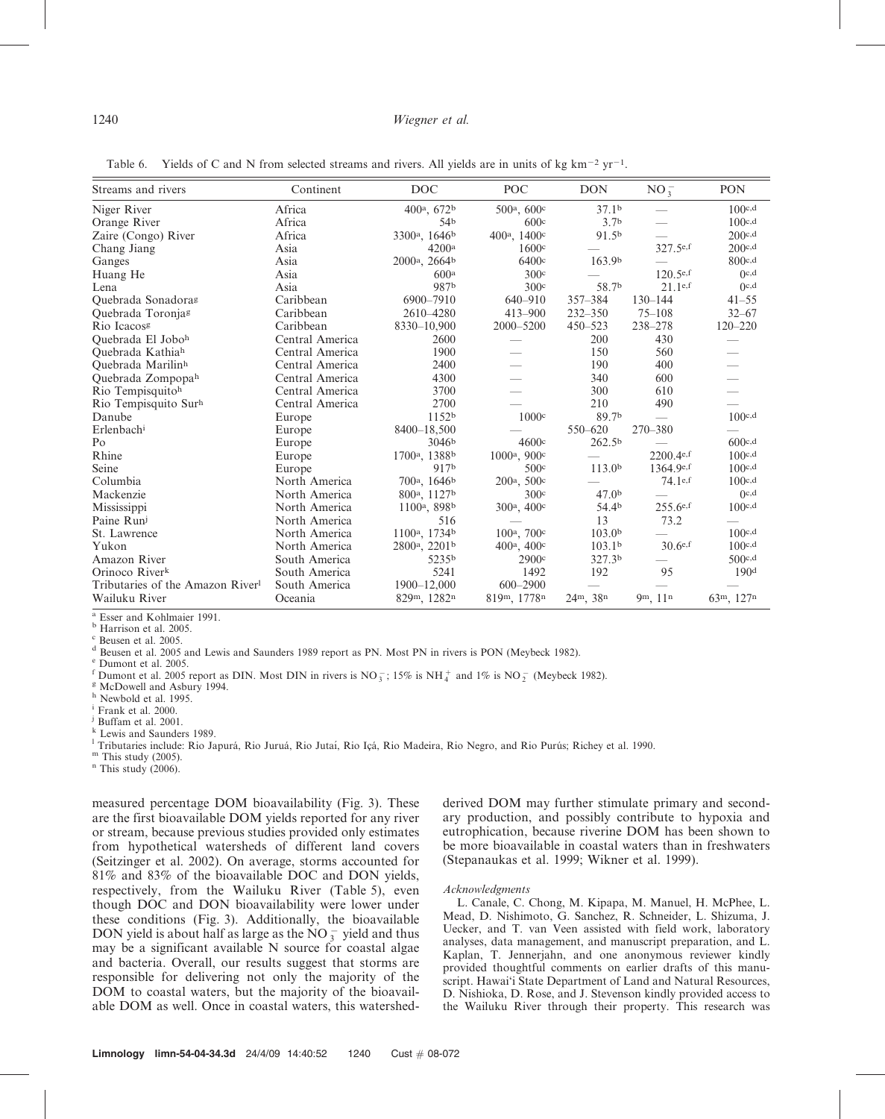| Streams and rivers              | Continent       | <b>DOC</b>                            | <b>POC</b>                           | <b>DON</b>         | $NO_3^-$                 | <b>PON</b>       |
|---------------------------------|-----------------|---------------------------------------|--------------------------------------|--------------------|--------------------------|------------------|
| Niger River                     | Africa          | 400 <sup>a</sup> , $672b$             | 500 <sup>a</sup> , 600 <sup>c</sup>  | 37.1 <sup>b</sup>  |                          | 100c,d           |
| Orange River                    | Africa          | 54b                                   | 600c                                 | 3.7 <sup>b</sup>   |                          | 100c,d           |
| Zaire (Congo) River             | Africa          | 3300 <sup>a</sup> , 1646 <sup>b</sup> | 400 <sup>a</sup> , 1400 <sup>c</sup> | 91.5 <sup>b</sup>  |                          | 200c,d           |
| Chang Jiang                     | Asia            | 4200a                                 | 1600c                                |                    | 327.5e,f                 | 200c,d           |
| Ganges                          | Asia            | 2000 <sup>a</sup> , 2664 <sup>b</sup> | 6400c                                | 163.9b             |                          | 800c,d           |
| Huang He                        | Asia            | 600 <sup>a</sup>                      | 300c                                 |                    | $120.5$ e,f              | O <sub>c,d</sub> |
| Lena                            | Asia            | 987b                                  | 300c                                 | 58.7b              | 21.1e.f                  | O <sub>c,d</sub> |
| Quebrada Sonadoras              | Caribbean       | 6900-7910                             | $640 - 910$                          | $357 - 384$        | $130 - 144$              | $41 - 55$        |
| Quebrada Toronjag               | Caribbean       | 2610-4280                             | $413 - 900$                          | $232 - 350$        | $75 - 108$               | $32 - 67$        |
| Rio Icacos <sup>g</sup>         | Caribbean       | 8330-10,900                           | 2000-5200                            | $450 - 523$        | 238-278                  | $120 - 220$      |
| Quebrada El Joboh               | Central America | 2600                                  |                                      | 200                | 430                      |                  |
| Quebrada Kathiah                | Central America | 1900                                  |                                      | 150                | 560                      |                  |
| Quebrada Marilinh               | Central America | 2400                                  |                                      | 190                | 400                      |                  |
| Quebrada Zompopah               | Central America | 4300                                  |                                      | 340                | 600                      |                  |
| Rio Tempisquitoh                | Central America | 3700                                  |                                      | 300                | 610                      |                  |
| Rio Tempisquito Surh            | Central America | 2700                                  |                                      | 210                | 490                      |                  |
| Danube                          | Europe          | 1152 <sup>b</sup>                     | 1000c                                | 89.7b              | $\overline{\phantom{0}}$ | 100c,d           |
| Erlenbach <sup>i</sup>          | Europe          | 8400-18,500                           |                                      | 550-620            | 270-380                  |                  |
| P <sub>O</sub>                  | Europe          | 3046 <sup>b</sup>                     | 4600c                                | 262.5 <sup>b</sup> |                          | 600c,d           |
| Rhine                           | Europe          | 1700 <sup>a</sup> , 1388 <sup>b</sup> | 1000 <sup>a</sup> , 900 <sup>c</sup> |                    | 2200.4e,f                | 100c,d           |
| Seine                           | Europe          | 917b                                  | 500c                                 | 113.0 <sup>b</sup> | 1364.9e,f                | 100c,d           |
| Columbia                        | North America   | 700 <sup>a</sup> , 1646 <sup>b</sup>  | 200 <sup>a</sup> , 500 <sup>c</sup>  |                    | 74.1e,f                  | 100c,d           |
| Mackenzie                       | North America   | 800a, 1127b                           | 300c                                 | 47.0 <sub>b</sub>  |                          | O <sub>c,d</sub> |
| Mississippi                     | North America   | 1100 <sup>a</sup> , 898 <sup>b</sup>  | 300 <sup>a</sup> , 400 <sup>c</sup>  | 54.4 <sup>b</sup>  | $255.6$ e,f              | 100c,d           |
| Paine Runi                      | North America   | 516                                   |                                      | 13                 | 73.2                     |                  |
| St. Lawrence                    | North America   | 1100 <sup>a</sup> , 1734 <sup>b</sup> | 100 <sup>a</sup> , 700 <sup>c</sup>  | 103.0 <sup>b</sup> |                          | 100c,d           |
| Yukon                           | North America   | 2800 <sup>a</sup> , 2201 <sup>b</sup> | $400^{\rm a}$ , $400^{\rm c}$        | 103.1 <sup>b</sup> | $30.6^{e,f}$             | 100c,d           |
| Amazon River                    | South America   | 5235b                                 | 2900c                                | 327.3 <sup>b</sup> |                          | 500c,d           |
| Orinoco River <sup>k</sup>      | South America   | 5241                                  | 1492                                 | 192                | 95                       | 190 <sup>d</sup> |
| Tributaries of the Amazon River | South America   | 1900-12,000                           | $600 - 2900$                         |                    |                          |                  |
| Wailuku River                   | Oceania         | 829m, 1282n                           | 819m, 1778n                          | $24^m$ , $38^n$    | 9m, 11n                  | 63m, 127n        |

Table 6. Yields of C and N from selected streams and rivers. All yields are in units of kg km<sup>-2</sup> yr<sup>-1</sup>.

<sup>a</sup> Esser and Kohlmaier 1991.<br><sup>b</sup> Harrison et al. 2005.<br><sup>c</sup> Beusen et al. 2005.

 $^{\text{d}}$  Beusen et al. 2005 and Lewis and Saunders 1989 report as PN. Most PN in rivers is PON (Meybeck 1982).  $^{\text{e}}$  Dumont et al. 2005.

f Dumont et al. 2005 report as DIN. Most DIN in rivers is  $NO_3^-$ ; 15% is  $NH_4^+$  and 1% is  $NO_2^-$  (Meybeck 1982).<br>
<sup>8</sup> McDowell and Asbury 1994.<br>
<sup>h</sup> Newbold et al. 1995.<br>
i Frank et al. 2000.

<sup>i</sup> Frank et al. 2000.<br>
<sup>j</sup> Buffam et al. 2001.<br>
<sup>k</sup> Lewis and Saunders 1989.

k Lewis and Saunders 1989. l Tributaries include: Rio Japurá, Rio Juruá, Rio Iutaí, Rio Içá, Rio Madeira, Rio Negro, and Rio Purús; Richey et al. 1990.<br><sup>m</sup> This study (2005). n This study (2006).

measured percentage DOM bioavailability (Fig. 3). These are the first bioavailable DOM yields reported for any river or stream, because previous studies provided only estimates from hypothetical watersheds of different land covers (Seitzinger et al. 2002). On average, storms accounted for 81% and 83% of the bioavailable DOC and DON yields, respectively, from the Wailuku River (Table 5), even though DOC and DON bioavailability were lower under these conditions (Fig. 3). Additionally, the bioavailable DON yield is about half as large as the  $NO_3^-$  yield and thus may be a significant available N source for coastal algae and bacteria. Overall, our results suggest that storms are responsible for delivering not only the majority of the DOM to coastal waters, but the majority of the bioavailable DOM as well. Once in coastal waters, this watershedderived DOM may further stimulate primary and secondary production, and possibly contribute to hypoxia and eutrophication, because riverine DOM has been shown to be more bioavailable in coastal waters than in freshwaters (Stepanaukas et al. 1999; Wikner et al. 1999).

#### Acknowledgments

L. Canale, C. Chong, M. Kipapa, M. Manuel, H. McPhee, L. Mead, D. Nishimoto, G. Sanchez, R. Schneider, L. Shizuma, J. Uecker, and T. van Veen assisted with field work, laboratory analyses, data management, and manuscript preparation, and L. Kaplan, T. Jennerjahn, and one anonymous reviewer kindly provided thoughtful comments on earlier drafts of this manuscript. Hawai'i State Department of Land and Natural Resources, D. Nishioka, D. Rose, and J. Stevenson kindly provided access to the Wailuku River through their property. This research was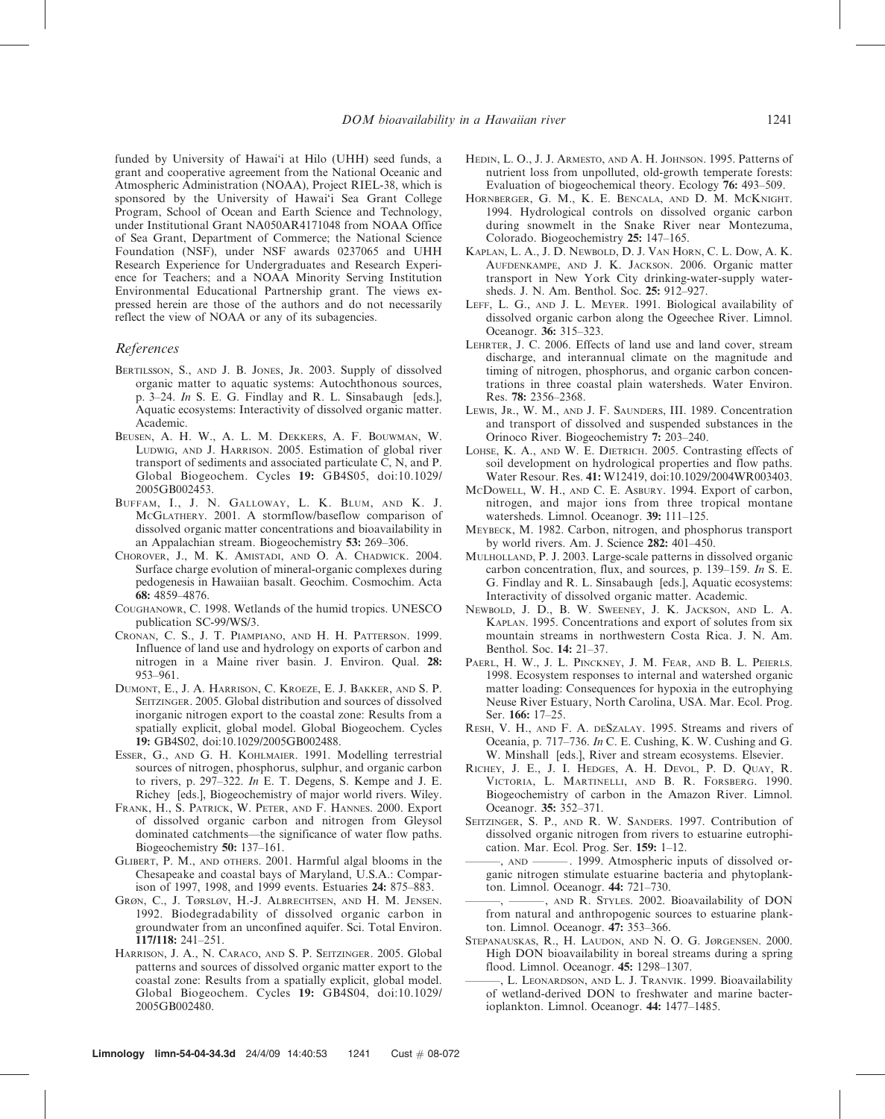funded by University of Hawai'i at Hilo (UHH) seed funds, a grant and cooperative agreement from the National Oceanic and Atmospheric Administration (NOAA), Project RIEL-38, which is sponsored by the University of Hawai'i Sea Grant College Program, School of Ocean and Earth Science and Technology, under Institutional Grant NA050AR4171048 from NOAA Office of Sea Grant, Department of Commerce; the National Science Foundation (NSF), under NSF awards 0237065 and UHH Research Experience for Undergraduates and Research Experience for Teachers; and a NOAA Minority Serving Institution Environmental Educational Partnership grant. The views expressed herein are those of the authors and do not necessarily reflect the view of NOAA or any of its subagencies.

#### References

- BERTILSSON, S., AND J. B. JONES, JR. 2003. Supply of dissolved organic matter to aquatic systems: Autochthonous sources, p. 3–24. In S. E. G. Findlay and R. L. Sinsabaugh [eds.], Aquatic ecosystems: Interactivity of dissolved organic matter. Academic.
- BEUSEN, A. H. W., A. L. M. DEKKERS, A. F. BOUWMAN, W. LUDWIG, AND J. HARRISON. 2005. Estimation of global river transport of sediments and associated particulate C, N, and P. Global Biogeochem. Cycles 19: GB4S05, doi:10.1029/ 2005GB002453.
- BUFFAM, I., J. N. GALLOWAY, L. K. BLUM, AND K. J. MCGLATHERY. 2001. A stormflow/baseflow comparison of dissolved organic matter concentrations and bioavailability in an Appalachian stream. Biogeochemistry 53: 269–306.
- CHOROVER, J., M. K. AMISTADI, AND O. A. CHADWICK. 2004. Surface charge evolution of mineral-organic complexes during pedogenesis in Hawaiian basalt. Geochim. Cosmochim. Acta 68: 4859–4876.
- COUGHANOWR, C. 1998. Wetlands of the humid tropics. UNESCO publication SC-99/WS/3.
- CRONAN, C. S., J. T. PIAMPIANO, AND H. H. PATTERSON. 1999. Influence of land use and hydrology on exports of carbon and nitrogen in a Maine river basin. J. Environ. Qual. 28: 953–961.
- DUMONT, E., J. A. HARRISON, C. KROEZE, E. J. BAKKER, AND S. P. SEITZINGER. 2005. Global distribution and sources of dissolved inorganic nitrogen export to the coastal zone: Results from a spatially explicit, global model. Global Biogeochem. Cycles 19: GB4S02, doi:10.1029/2005GB002488.
- ESSER, G., AND G. H. KOHLMAIER. 1991. Modelling terrestrial sources of nitrogen, phosphorus, sulphur, and organic carbon to rivers, p. 297–322. In E. T. Degens, S. Kempe and J. E. Richey [eds.], Biogeochemistry of major world rivers. Wiley.
- FRANK, H., S. PATRICK, W. PETER, AND F. HANNES. 2000. Export of dissolved organic carbon and nitrogen from Gleysol dominated catchments—the significance of water flow paths. Biogeochemistry 50: 137–161.
- GLIBERT, P. M., AND oTHERS. 2001. Harmful algal blooms in the Chesapeake and coastal bays of Maryland, U.S.A.: Comparison of 1997, 1998, and 1999 events. Estuaries 24: 875–883.
- GRØN, C., J. TØRSLØV, H.-J. ALBRECHTSEN, AND H. M. JENSEN. 1992. Biodegradability of dissolved organic carbon in groundwater from an unconfined aquifer. Sci. Total Environ. 117/118: 241–251.
- HARRISON, J. A., N. CARACO, AND S. P. SEITZINGER. 2005. Global patterns and sources of dissolved organic matter export to the coastal zone: Results from a spatially explicit, global model. Global Biogeochem. Cycles 19: GB4S04, doi:10.1029/ 2005GB002480.
- HEDIN, L. O., J. J. ARMESTO, AND A. H. JOHNSON. 1995. Patterns of nutrient loss from unpolluted, old-growth temperate forests: Evaluation of biogeochemical theory. Ecology 76: 493–509.
- HORNBERGER, G. M., K. E. BENCALA, AND D. M. MCKNIGHT. 1994. Hydrological controls on dissolved organic carbon during snowmelt in the Snake River near Montezuma, Colorado. Biogeochemistry 25: 147–165.
- KAPLAN, L. A., J. D. NEWBOLD, D. J. VAN HORN, C. L. DOW, A. K. AUFDENKAMPE, AND J. K. JACKSON. 2006. Organic matter transport in New York City drinking-water-supply watersheds. J. N. Am. Benthol. Soc. 25: 912–927.
- LEFF, L. G., AND J. L. MEYER. 1991. Biological availability of dissolved organic carbon along the Ogeechee River. Limnol. Oceanogr. 36: 315–323.
- LEHRTER, J. C. 2006. Effects of land use and land cover, stream discharge, and interannual climate on the magnitude and timing of nitrogen, phosphorus, and organic carbon concentrations in three coastal plain watersheds. Water Environ. Res. 78: 2356–2368.
- LEWIS, JR., W. M., AND J. F. SAUNDERS, III. 1989. Concentration and transport of dissolved and suspended substances in the Orinoco River. Biogeochemistry 7: 203–240.
- LOHSE, K. A., AND W. E. DIETRICH. 2005. Contrasting effects of soil development on hydrological properties and flow paths. Water Resour. Res. 41: W12419, doi:10.1029/2004WR003403.
- MCDOWELL, W. H., AND C. E. ASBURY. 1994. Export of carbon, nitrogen, and major ions from three tropical montane watersheds. Limnol. Oceanogr. 39: 111–125.
- MEYBECK, M. 1982. Carbon, nitrogen, and phosphorus transport by world rivers. Am. J. Science 282: 401–450.
- MULHOLLAND, P. J. 2003. Large-scale patterns in dissolved organic carbon concentration, flux, and sources, p. 139–159. In S. E. G. Findlay and R. L. Sinsabaugh [eds.], Aquatic ecosystems: Interactivity of dissolved organic matter. Academic.
- NEWBOLD, J. D., B. W. SWEENEY, J. K. JACKSON, AND L. A. KAPLAN. 1995. Concentrations and export of solutes from six mountain streams in northwestern Costa Rica. J. N. Am. Benthol. Soc. 14: 21–37.
- PAERL, H. W., J. L. PINCKNEY, J. M. FEAR, AND B. L. PEIERLS. 1998. Ecosystem responses to internal and watershed organic matter loading: Consequences for hypoxia in the eutrophying Neuse River Estuary, North Carolina, USA. Mar. Ecol. Prog. Ser. 166: 17–25.
- RESH, V. H., AND F. A. DESZALAY. 1995. Streams and rivers of Oceania, p. 717–736. In C. E. Cushing, K. W. Cushing and G. W. Minshall [eds.], River and stream ecosystems. Elsevier.
- RICHEY, J. E., J. I. HEDGES, A. H. DEVOL, P. D. QUAY, R. VICTORIA, L. MARTINELLI, AND B. R. FORSBERG. 1990. Biogeochemistry of carbon in the Amazon River. Limnol. Oceanogr. 35: 352–371.
- SEITZINGER, S. P., AND R. W. SANDERS. 1997. Contribution of dissolved organic nitrogen from rivers to estuarine eutrophication. Mar. Ecol. Prog. Ser. 159: 1–12.
- ———, AND ——— . 1999. Atmospheric inputs of dissolved organic nitrogen stimulate estuarine bacteria and phytoplankton. Limnol. Oceanogr. 44: 721–730.
- ———, ———, AND R. STYLES. 2002. Bioavailability of DON from natural and anthropogenic sources to estuarine plankton. Limnol. Oceanogr. 47: 353–366.
- STEPANAUSKAS, R., H. LAUDON, AND N. O. G. JØRGENSEN. 2000. High DON bioavailability in boreal streams during a spring flood. Limnol. Oceanogr. 45: 1298–1307.
	- L. LEONARDSON, AND L. J. TRANVIK. 1999. Bioavailability of wetland-derived DON to freshwater and marine bacterioplankton. Limnol. Oceanogr. 44: 1477–1485.